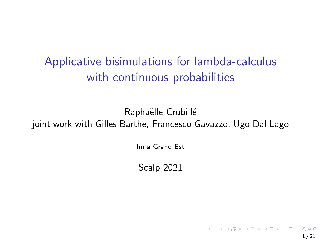<span id="page-0-0"></span>Applicative bisimulations for lambda-calculus with continuous probabilities

Raphaëlle Crubillé joint work with Gilles Barthe, Francesco Gavazzo, Ugo Dal Lago

Inria Grand Est

Scalp 2021

1 / 21

メロトメ 御 トメ 差 トメ 差 トー 差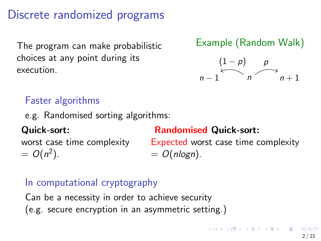# Discrete randomized programs

The program can make probabilistic choices at any point during its execution.



#### Faster algorithms

e.g. Randomised sorting algorithms:

#### Quick-sort:

#### Randomised Quick-sort:

worst case time complexity  $= O(n^2)$ .

### Expected worst case time complexity  $= O(n \log n)$ .

### In computational cryptography

Can be a necessity in order to achieve security (e.g. secure encryption in an asymmetric setting.)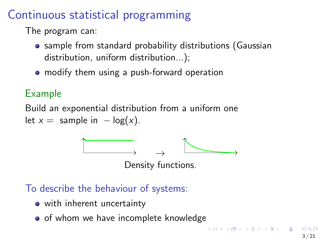## Continuous statistical programming

The program can:

- sample from standard probability distributions (Gaussian distribution, uniform distribution...);
- modify them using a push-forward operation

### Example

Build an exponential distribution from a uniform one let  $x =$  sample in  $-\log(x)$ .



To describe the behaviour of systems:

- with inherent uncertainty
- $\bullet$  of whom we have incomplete knowledge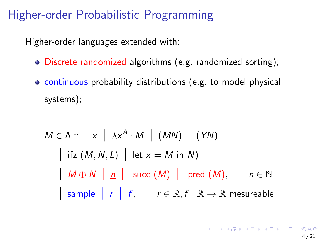## Higher-order Probabilistic Programming

Higher-order languages extended with:

- Discrete randomized algorithms (e.g. randomized sorting);
- continuous probability distributions (e.g. to model physical systems);

$$
M \in \Lambda ::= x \mid \lambda x^{A} \cdot M \mid (MN) \mid (YN)
$$
  
\n
$$
\mid \text{ if } z \in M, N, L) \mid \text{ let } x = M \text{ in } N)
$$
  
\n
$$
\mid M \oplus N \mid \underline{n} \mid \text{ succ } (M) \mid \text{ pred } (M), \quad n \in \mathbb{N}
$$
  
\n
$$
\mid \text{ sample } \mid \underline{r} \mid \underline{f}, \quad r \in \mathbb{R}, f : \mathbb{R} \to \mathbb{R} \text{ mesureable}
$$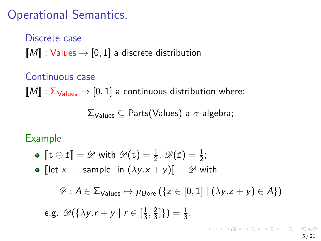## <span id="page-4-0"></span>Operational Semantics.

Discrete case  $\llbracket M \rrbracket$  : Values  $\rightarrow$  [0, 1] a discrete distribution

# Continuous case  $\llbracket M \rrbracket : \Sigma_{\text{Values}} \rightarrow [0, 1]$  a continuous distribution where:

 $\Sigma_{\text{Values}} \subset$  Parts(Values) a σ-algebra;

### Example

- $[\![ \mathbf{t} \oplus \mathbf{f} ]\!] = \mathscr{D}$  with  $\mathscr{D}(\mathbf{t}) = \frac{1}{2}$ ,  $\mathscr{D}(\mathbf{f}) = \frac{1}{2}$ ;
- $\left[\det x = \text{sample in } (\lambda y.x + y)\right] = \mathscr{D}$  with

$$
\mathscr{D}: A \in \Sigma_{\text{Values}} \mapsto \mu_{\text{Borel}}(\{z \in [0,1] \mid (\lambda y. z + y) \in A\})
$$

e.g.  $\mathscr{D}(\{\lambda y.r+y \mid r \in [\frac{1}{3}$  $\frac{1}{3}, \frac{2}{3}$  $\frac{2}{3}$ ] } ) =  $\frac{1}{3}$ .

 $\mathbf{A} \equiv \mathbf{A} + \mathbf{A} + \mathbf{A} + \mathbf{A} + \mathbf{A} + \mathbf{A} + \mathbf{A} + \mathbf{A} + \mathbf{A} + \mathbf{A} + \mathbf{A} + \mathbf{A} + \mathbf{A} + \mathbf{A} + \mathbf{A} + \mathbf{A} + \mathbf{A} + \mathbf{A} + \mathbf{A} + \mathbf{A} + \mathbf{A} + \mathbf{A} + \mathbf{A} + \mathbf{A} + \mathbf{A} + \mathbf{A} + \mathbf{A} + \mathbf{A} + \mathbf{A} + \mathbf{A} + \math$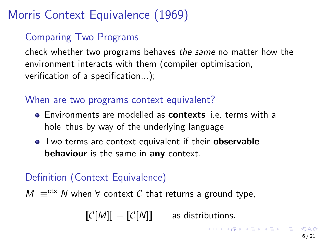# <span id="page-5-0"></span>Morris Context Equivalence (1969)

## Comparing Two Programs

check whether two programs behaves the same no matter how the environment interacts with them (compiler optimisation, verification of a specification...);

#### When are two programs context equivalent?

- $\bullet$  Environments are modelled as **contexts**-i.e. terms with a hole–thus by way of the underlying language
- **•** Two terms are context equivalent if their **observable** behaviour is the same in any context.

### Definition (Context Equivalence)

 $M \equiv^{\text{ctx}} N$  when  $\forall$  context C that returns a ground type,

 $\llbracket \mathcal{C}[M] \rrbracket = \llbracket \mathcal{C}[N] \rrbracket$  as distributions.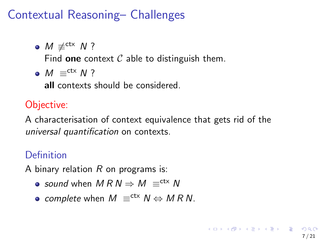# Contextual Reasoning– Challenges

$$
\bullet \ M \not\equiv^{\text{ctx}} N ?
$$

Find one context  $\mathcal C$  able to distinguish them.

• 
$$
M \equiv^{\text{ctx}} N
$$
?

all contexts should be considered.

### Objective:

A characterisation of context equivalence that gets rid of the universal quantification on contexts.

## Definition

A binary relation  $R$  on programs is:

- sound when  $MRN \Rightarrow M = ctxN$
- complete when  $M \equiv^{\text{ctx}} N \Leftrightarrow MRN$ .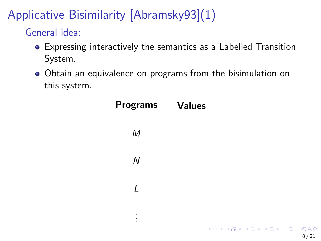- Expressing interactively the semantics as a Labelled Transition System.
- Obtain an equivalence on programs from the bisimulation on this system.

| <b>Programs Values</b>   |                                             |
|--------------------------|---------------------------------------------|
| M                        |                                             |
| Ν                        |                                             |
| L                        |                                             |
| ٠<br>$\blacksquare$<br>٠ | K ロ ▶ K @ ▶ K 할 ▶ K 할 ▶ ① 할 → ① 의 안<br>8/21 |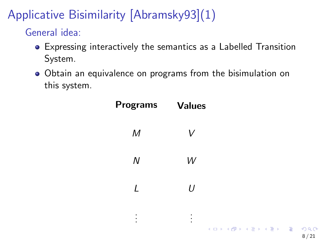- Expressing interactively the semantics as a Labelled Transition System.
- Obtain an equivalence on programs from the bisimulation on this system.

| Programs    | <b>Values</b>            |                                             |  |
|-------------|--------------------------|---------------------------------------------|--|
| М           | V                        |                                             |  |
| N           | W                        |                                             |  |
| I           | U                        |                                             |  |
| ٠<br>٠<br>٠ | ٠<br>٠<br>$\blacksquare$ |                                             |  |
|             |                          | K ロ ▶ K @ ▶ K 할 ▶ K 할 ▶ ① 할 → ① 의 ①<br>8/21 |  |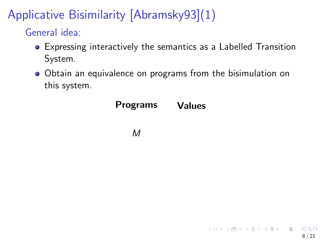General idea:

- Expressing interactively the semantics as a Labelled Transition System.
- Obtain an equivalence on programs from the bisimulation on this system.



M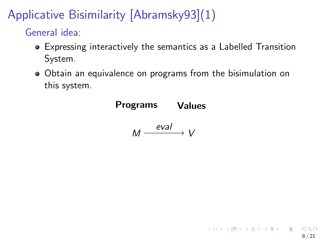- Expressing interactively the semantics as a Labelled Transition System.
- Obtain an equivalence on programs from the bisimulation on this system.

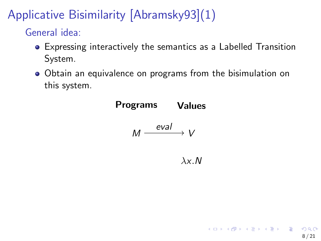- Expressing interactively the semantics as a Labelled Transition System.
- Obtain an equivalence on programs from the bisimulation on this system.



 $\lambda x. N$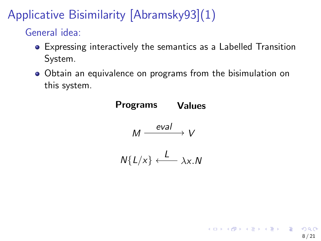- Expressing interactively the semantics as a Labelled Transition System.
- Obtain an equivalence on programs from the bisimulation on this system.

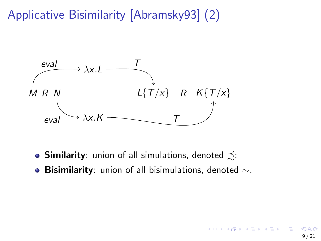

- Similarity: union of all simulations, denoted  $\preceq$ ;
- $\bullet$  Bisimilarity: union of all bisimulations, denoted  $\sim$ .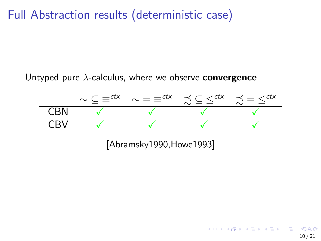Full Abstraction results (deterministic case)

#### Untyped pure  $\lambda$ -calculus, where we observe **convergence**

| $\subseteq~\equiv^{\mathsf{ctx}}$ | $\sim \ \equiv \ \equiv^{\mathsf{ctx}}$ | $\prec$ $\subset \overline{<^{ctx}}$ | $\preceq = \leq^{\mathsf{ctx}}$ |
|-----------------------------------|-----------------------------------------|--------------------------------------|---------------------------------|
|                                   |                                         |                                      |                                 |
|                                   |                                         |                                      |                                 |

[Abramsky1990,Howe1993]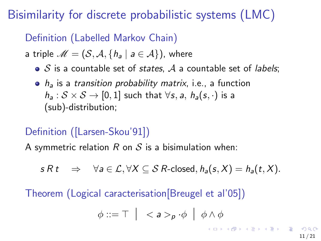## Bisimilarity for discrete probabilistic systems (LMC)

### Definition (Labelled Markov Chain)

a triple  $\mathcal{M} = (\mathcal{S}, \mathcal{A}, \{h_a \mid a \in \mathcal{A}\})$ , where

- $\bullet$  S is a countable set of *states.* A a countable set of *labels*:
- $\bullet$  h<sub>a</sub> is a transition probability matrix, i.e., a function  $h_a: S \times S \rightarrow [0, 1]$  such that  $\forall s, a, h_a(s, \cdot)$  is a (sub)-distribution;

## Definition ([Larsen-Skou'91])

A symmetric relation  $R$  on  $S$  is a bisimulation when:

$$
s R t \Rightarrow \forall a \in \mathcal{L}, \forall X \subseteq S \text{ R-closed}, h_a(s, X) = h_a(t, X).
$$

Theorem (Logical caracterisation[Breugel et al'05])

$$
\phi ::= \top \quad | \quad \_{p} \cdot \phi \quad | \quad \phi \wedge \phi
$$

11 / 21

イロト 不優 トメ 差 トメ 差 トー 差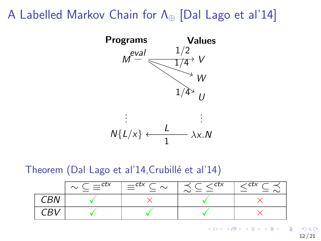# A Labelled Markov Chain for  $\Lambda_{\oplus}$  [Dal Lago et al'14]



$$
\vdots \qquad \qquad \vdots
$$
\n
$$
N\{L/x\} \leftarrow \frac{L}{1} \lambda x.N
$$

### Theorem (Dal Lago et al'14, Crubillé et al'14)

| $\overline{E}^{\mathsf{ctx}}$<br>$\sim$ | $\equiv$ <sup>ctx</sup><br>$\sim$ $\sim$ $\sim$ | $\prec$ $\subset$ $\prec$ ctx | $\angle$ ctx $\subset$<br>$=$ $\sim$ |
|-----------------------------------------|-------------------------------------------------|-------------------------------|--------------------------------------|
|                                         |                                                 |                               |                                      |
|                                         |                                                 |                               |                                      |

K ロ ⊁ K 個 ≯ K 君 ⊁ K 君 ⊁ … э  $209$ 12 / 21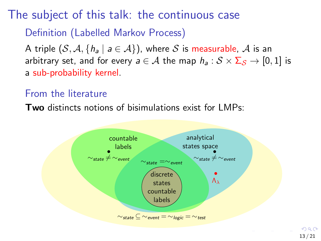# The subject of this talk: the continuous case

Definition (Labelled Markov Process)

A triple  $(S, \mathcal{A}, \{h_a \mid a \in \mathcal{A}\})$ , where S is measurable, A is an arbitrary set, and for every  $a \in \mathcal{A}$  the map  $h_a : \mathcal{S} \times \Sigma_{\mathcal{S}} \rightarrow [0,1]$  is a sub-probability kernel.

### From the literature

**Two** distincts notions of bisimulations exist for LMPs:

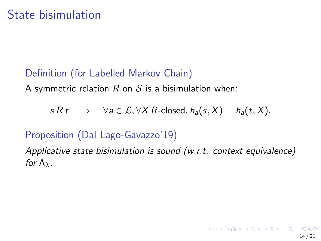### Definition (for Labelled Markov Chain)

A symmetric relation R on S is a bisimulation when:

$$
s R t \Rightarrow \forall a \in \mathcal{L}, \forall X R \text{-closed}, h_a(s, X) = h_a(t, X).
$$

### Proposition (Dal Lago-Gavazzo'19)

Applicative state bisimulation is sound (w.r.t. context equivalence) for  $\Lambda_{\lambda}$ .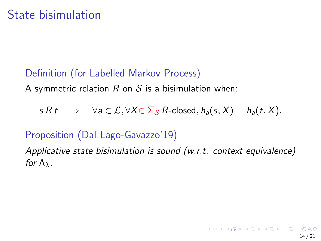### Definition (for Labelled Markov Process)

A symmetric relation R on S is a bisimulation when:

$$
s R t \Rightarrow \forall a \in \mathcal{L}, \forall X \in \Sigma_{\mathcal{S}} R\text{-closed}, h_a(s, X) = h_a(t, X).
$$

### Proposition (Dal Lago-Gavazzo'19)

Applicative state bisimulation is sound (w.r.t. context equivalence) for  $\Lambda_{\lambda}$ .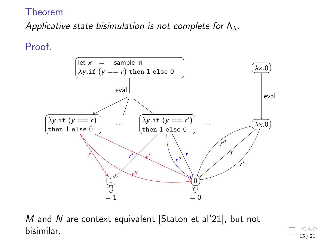#### <span id="page-20-0"></span>Theorem

### Applicative state bisimulation is not complete for  $\Lambda_{\lambda}$ .

Proof.



 $M$  and  $N$  are context equivalent [Staton et al'21], but not bisimilar. 15 / 21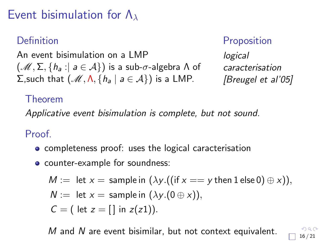# <span id="page-21-0"></span>Event bisimulation for  $\Lambda_{\lambda}$

## Definition

An event bisimulation on a LMP  $(\mathcal{M}, \Sigma, \{h_a : a \in \mathcal{A}\})$  is a sub- $\sigma$ -algebra  $\Lambda$  of Σ, such that  $(M, \Lambda, \{h_a \mid a \in A\})$  is a LMP.

### **Proposition**

logical caracterisation [Breugel et al'05]

#### Theorem

Applicative event bisimulation is complete, but not sound.

### Proof.

- completeness proof: uses the logical caracterisation
- counter-example for soundness:

$$
M := \text{let } x = \text{sample in } (\lambda y. ((\text{if } x == y \text{ then } 1 \text{ else } 0) \oplus x)),
$$
  

$$
N := \text{let } x = \text{sample in } (\lambda y. (0 \oplus x)),
$$
  

$$
C = (\text{ let } z = [] \text{ in } z(z1)).
$$

M and N are event bisimilar, but not c[on](#page-20-0)[te](#page-22-0)[xt](#page-20-0) [e](#page-21-0)[q](#page-22-0)[u](#page-4-0)[iv](#page-5-0)[al](#page-26-0)[en](#page-0-0)[t.](#page-26-0)  $\bigcap_{16/21}$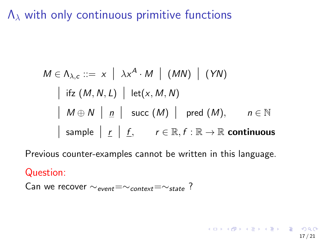<span id="page-22-0"></span> $\Lambda_{\lambda}$  with only continuous primitive functions

$$
M \in \Lambda_{\lambda,c} ::= x \mid \lambda x^{A} \cdot M \mid (MN) \mid (YN)
$$
  
\n
$$
\mid \text{ if } z \in M, N, L) \mid \text{ let } (x, M, N)
$$
  
\n
$$
\mid M \oplus N \mid \underline{n} \mid \text{ succ } (M) \mid \text{ pred } (M), \qquad n \in \mathbb{N}
$$
  
\n
$$
\mid \text{ sample } \mid \underline{r} \mid \underline{f}, \qquad r \in \mathbb{R}, f : \mathbb{R} \to \mathbb{R} \text{ continuous}
$$

Previous counter-examples cannot be written in this language.

17 / 21

K ロ ▶ K 個 ▶ K 글 ▶ K 글 ▶ │ 글 │ ◆) Q ( º

Question:

Can we recover  $\sim_{event}=\sim_{context}=\sim_{state}$ ?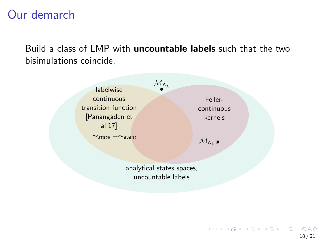## Our demarch

Build a class of LMP with uncountable labels such that the two bisimulations coincide.



analytical states spaces, uncountable labels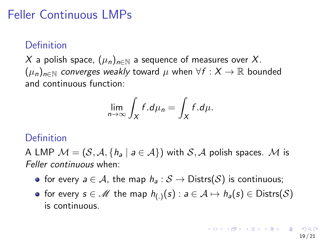## Feller Continuous LMPs

### Definition

X a polish space,  $(\mu_n)_{n\in\mathbb{N}}$  a sequence of measures over X.  $(\mu_n)_{n\in\mathbb{N}}$  converges weakly toward  $\mu$  when  $\forall f : X \to \mathbb{R}$  bounded and continuous function:

$$
\lim_{n\to\infty}\int_X f.d\mu_n=\int_X f.d\mu.
$$

#### Definition

A LMP  $\mathcal{M} = (\mathcal{S}, \mathcal{A}, \{h_a \mid a \in \mathcal{A}\})$  with  $\mathcal{S}, \mathcal{A}$  polish spaces. M is Feller continuous when:

- for every  $a \in \mathcal{A}$ , the map  $h_a : \mathcal{S} \to \text{Distrs}(\mathcal{S})$  is continuous;
- for every  $s \in \mathscr{M}$  the map  $h_{(\cdot)}(s)$  :  $a \in \mathcal{A} \mapsto h_{a}(s) \in \mathsf{Distrs}(\mathcal{S})$ is continuous.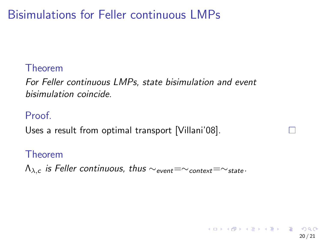Bisimulations for Feller continuous LMPs

### Theorem

For Feller continuous LMPs, state bisimulation and event bisimulation coincide.

### Proof.

Uses a result from optimal transport [Villani'08].

#### Theorem

 $\Lambda_{\lambda,c}$  is Feller continuous, thus  $\sim_{event}=\sim_{context}=\sim_{state}$ .